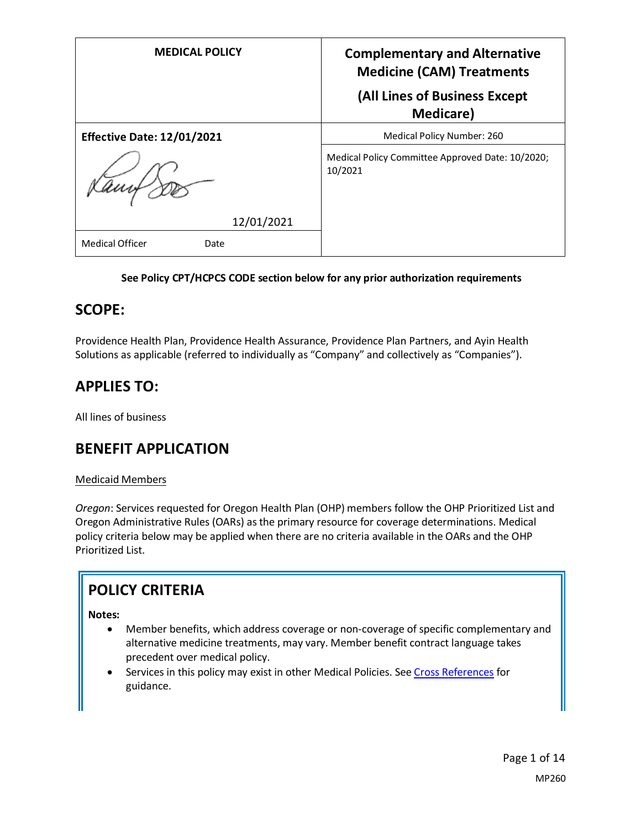| <b>MEDICAL POLICY</b>             | <b>Complementary and Alternative</b><br><b>Medicine (CAM) Treatments</b> |
|-----------------------------------|--------------------------------------------------------------------------|
|                                   | (All Lines of Business Except<br>Medicare)                               |
| <b>Effective Date: 12/01/2021</b> | Medical Policy Number: 260                                               |
|                                   | Medical Policy Committee Approved Date: 10/2020;<br>10/2021              |
| 12/01/2021                        |                                                                          |
| <b>Medical Officer</b><br>Date    |                                                                          |

### **See Policy CPT/HCPCS CODE section below for any prior authorization requirements**

## **SCOPE:**

Providence Health Plan, Providence Health Assurance, Providence Plan Partners, and Ayin Health Solutions as applicable (referred to individually as "Company" and collectively as "Companies").

## **APPLIES TO:**

All lines of business

## **BENEFIT APPLICATION**

### Medicaid Members

*Oregon*: Services requested for Oregon Health Plan (OHP) members follow the OHP Prioritized List and Oregon Administrative Rules (OARs) as the primary resource for coverage determinations. Medical policy criteria below may be applied when there are no criteria available in the OARs and the OHP Prioritized List.

## **POLICY CRITERIA**

### **Notes:**

- Member benefits, which address coverage or non-coverage of specific complementary and alternative medicine treatments, may vary. Member benefit contract language takes precedent over medical policy.
- Services in this policy may exist in other Medical Policies. Se[e Cross References](#page-9-0) for guidance.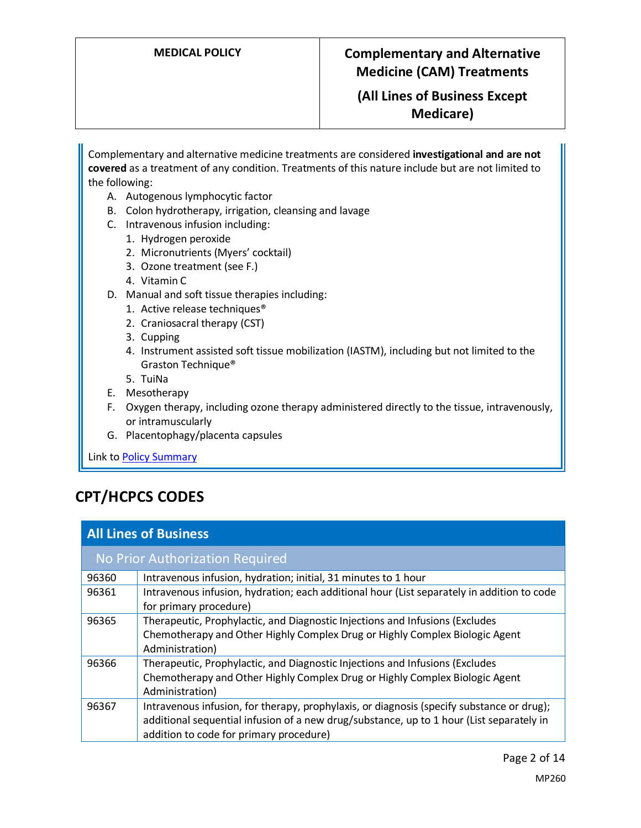**(All Lines of Business Except Medicare)**

Complementary and alternative medicine treatments are considered **investigational and are not covered** as a treatment of any condition. Treatments of this nature include but are not limited to the following:

- A. Autogenous lymphocytic factor
- B. Colon hydrotherapy, irrigation, cleansing and lavage
- C. Intravenous infusion including:
	- 1. Hydrogen peroxide
	- 2. Micronutrients (Myers' cocktail)
	- 3. Ozone treatment (see F.)
	- 4. Vitamin C
- D. Manual and soft tissue therapies including:
	- 1. Active release techniques®
	- 2. Craniosacral therapy (CST)
	- 3. Cupping
	- 4. Instrument assisted soft tissue mobilization (IASTM), including but not limited to the Graston Technique®
	- 5. TuiNa
- E. Mesotherapy
- F. Oxygen therapy, including ozone therapy administered directly to the tissue, intravenously, or intramuscularly
- G. Placentophagy/placenta capsules

Link t[o Policy Summary](#page-8-0)

## **CPT/HCPCS CODES**

| <b>All Lines of Business</b>    |                                                                                                                                                                                                                                  |
|---------------------------------|----------------------------------------------------------------------------------------------------------------------------------------------------------------------------------------------------------------------------------|
| No Prior Authorization Required |                                                                                                                                                                                                                                  |
| 96360                           | Intravenous infusion, hydration; initial, 31 minutes to 1 hour                                                                                                                                                                   |
| 96361                           | Intravenous infusion, hydration; each additional hour (List separately in addition to code<br>for primary procedure)                                                                                                             |
| 96365                           | Therapeutic, Prophylactic, and Diagnostic Injections and Infusions (Excludes<br>Chemotherapy and Other Highly Complex Drug or Highly Complex Biologic Agent<br>Administration)                                                   |
| 96366                           | Therapeutic, Prophylactic, and Diagnostic Injections and Infusions (Excludes<br>Chemotherapy and Other Highly Complex Drug or Highly Complex Biologic Agent<br>Administration)                                                   |
| 96367                           | Intravenous infusion, for therapy, prophylaxis, or diagnosis (specify substance or drug);<br>additional sequential infusion of a new drug/substance, up to 1 hour (List separately in<br>addition to code for primary procedure) |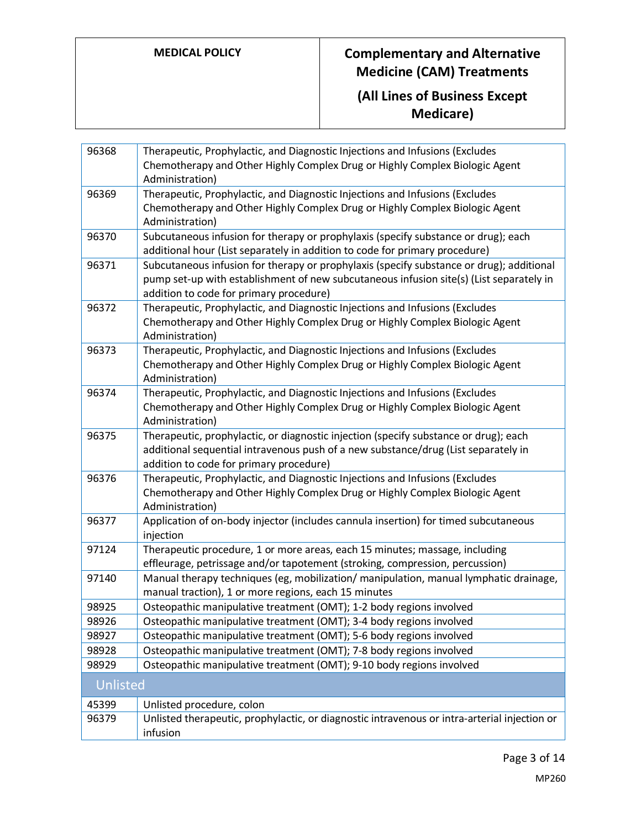| 96368    | Therapeutic, Prophylactic, and Diagnostic Injections and Infusions (Excludes                                                  |
|----------|-------------------------------------------------------------------------------------------------------------------------------|
|          | Chemotherapy and Other Highly Complex Drug or Highly Complex Biologic Agent                                                   |
|          | Administration)                                                                                                               |
| 96369    | Therapeutic, Prophylactic, and Diagnostic Injections and Infusions (Excludes                                                  |
|          | Chemotherapy and Other Highly Complex Drug or Highly Complex Biologic Agent                                                   |
|          | Administration)                                                                                                               |
| 96370    | Subcutaneous infusion for therapy or prophylaxis (specify substance or drug); each                                            |
|          | additional hour (List separately in addition to code for primary procedure)                                                   |
| 96371    | Subcutaneous infusion for therapy or prophylaxis (specify substance or drug); additional                                      |
|          | pump set-up with establishment of new subcutaneous infusion site(s) (List separately in                                       |
|          | addition to code for primary procedure)                                                                                       |
| 96372    | Therapeutic, Prophylactic, and Diagnostic Injections and Infusions (Excludes                                                  |
|          | Chemotherapy and Other Highly Complex Drug or Highly Complex Biologic Agent                                                   |
|          | Administration)                                                                                                               |
| 96373    | Therapeutic, Prophylactic, and Diagnostic Injections and Infusions (Excludes                                                  |
|          | Chemotherapy and Other Highly Complex Drug or Highly Complex Biologic Agent                                                   |
|          | Administration)                                                                                                               |
| 96374    | Therapeutic, Prophylactic, and Diagnostic Injections and Infusions (Excludes                                                  |
|          | Chemotherapy and Other Highly Complex Drug or Highly Complex Biologic Agent                                                   |
|          | Administration)                                                                                                               |
| 96375    | Therapeutic, prophylactic, or diagnostic injection (specify substance or drug); each                                          |
|          | additional sequential intravenous push of a new substance/drug (List separately in<br>addition to code for primary procedure) |
| 96376    | Therapeutic, Prophylactic, and Diagnostic Injections and Infusions (Excludes                                                  |
|          | Chemotherapy and Other Highly Complex Drug or Highly Complex Biologic Agent                                                   |
|          | Administration)                                                                                                               |
| 96377    | Application of on-body injector (includes cannula insertion) for timed subcutaneous                                           |
|          | injection                                                                                                                     |
| 97124    | Therapeutic procedure, 1 or more areas, each 15 minutes; massage, including                                                   |
|          | effleurage, petrissage and/or tapotement (stroking, compression, percussion)                                                  |
| 97140    | Manual therapy techniques (eg, mobilization/ manipulation, manual lymphatic drainage,                                         |
|          | manual traction), 1 or more regions, each 15 minutes                                                                          |
| 98925    | Osteopathic manipulative treatment (OMT); 1-2 body regions involved                                                           |
| 98926    | Osteopathic manipulative treatment (OMT); 3-4 body regions involved                                                           |
| 98927    | Osteopathic manipulative treatment (OMT); 5-6 body regions involved                                                           |
| 98928    | Osteopathic manipulative treatment (OMT); 7-8 body regions involved                                                           |
| 98929    | Osteopathic manipulative treatment (OMT); 9-10 body regions involved                                                          |
| Unlisted |                                                                                                                               |
| 45399    | Unlisted procedure, colon                                                                                                     |
| 96379    | Unlisted therapeutic, prophylactic, or diagnostic intravenous or intra-arterial injection or                                  |
|          | infusion                                                                                                                      |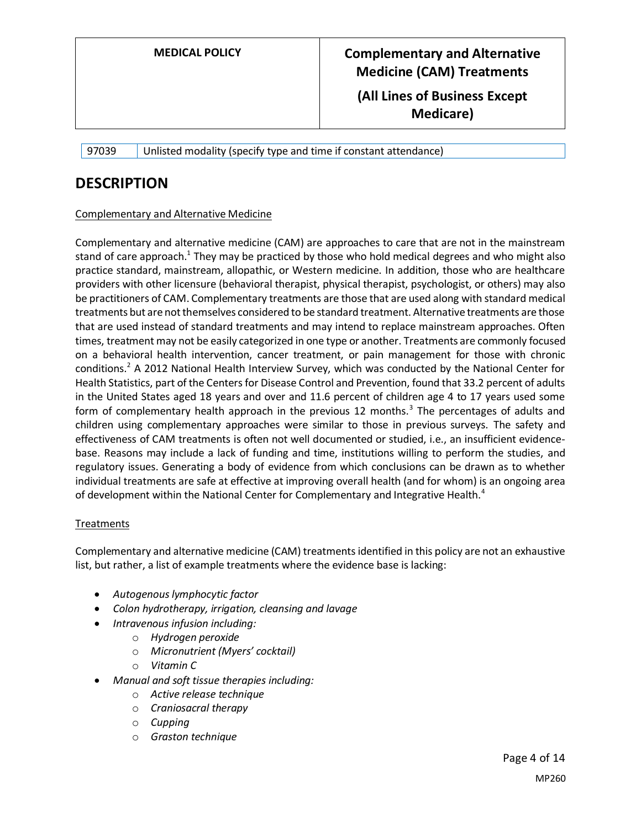97039 Unlisted modality (specify type and time if constant attendance)

### **DESCRIPTION**

### Complementary and Alternative Medicine

Complementary and alternative medicine (CAM) are approaches to care that are not in the mainstream stand of care approach.<sup>1</sup> They may be practiced by those who hold medical degrees and who might also practice standard, mainstream, allopathic, or Western medicine. In addition, those who are healthcare providers with other licensure (behavioral therapist, physical therapist, psychologist, or others) may also be practitioners of CAM. Complementary treatments are those that are used along with standard medical treatments but are not themselves considered to be standard treatment. Alternative treatments are those that are used instead of standard treatments and may intend to replace mainstream approaches. Often times, treatment may not be easily categorized in one type or another. Treatments are commonly focused on a behavioral health intervention, cancer treatment, or pain management for those with chronic conditions.<sup>2</sup> A 2012 National Health Interview Survey, which was conducted by the National Center for Health Statistics, part of the Centers for Disease Control and Prevention, found that 33.2 percent of adults in the United States aged 18 years and over and 11.6 percent of children age 4 to 17 years used some form of complementary health approach in the previous 12 months.<sup>3</sup> The percentages of adults and children using complementary approaches were similar to those in previous surveys. The safety and effectiveness of CAM treatments is often not well documented or studied, i.e., an insufficient evidencebase. Reasons may include a lack of funding and time, institutions willing to perform the studies, and regulatory issues. Generating a body of evidence from which conclusions can be drawn as to whether individual treatments are safe at effective at improving overall health (and for whom) is an ongoing area of development within the National Center for Complementary and Integrative Health.<sup>4</sup>

### **Treatments**

Complementary and alternative medicine (CAM) treatments identified in this policy are not an exhaustive list, but rather, a list of example treatments where the evidence base is lacking:

- *Autogenous lymphocytic factor*
- *Colon hydrotherapy, irrigation, cleansing and lavage*
- *Intravenous infusion including:*
	- o *Hydrogen peroxide*
	- o *Micronutrient (Myers' cocktail)*
	- o *Vitamin C*
- *Manual and soft tissue therapies including:*
	- o *Active release technique*
	- o *Craniosacral therapy*
	- o *Cupping*
	- o *Graston technique*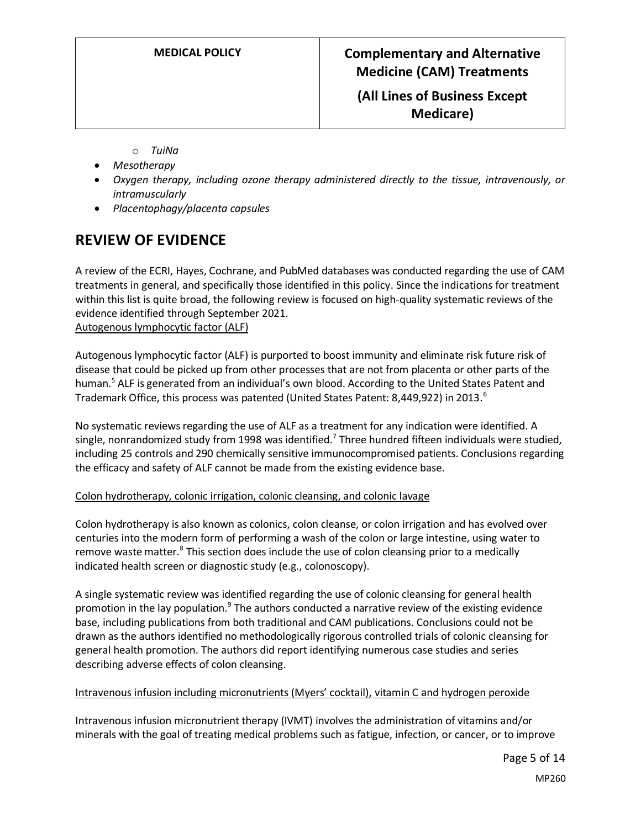**Medicare)**

- o *TuiNa*
- *Mesotherapy*
- *Oxygen therapy, including ozone therapy administered directly to the tissue, intravenously, or intramuscularly*
- *Placentophagy/placenta capsules*

## **REVIEW OF EVIDENCE**

A review of the ECRI, Hayes, Cochrane, and PubMed databases was conducted regarding the use of CAM treatments in general, and specifically those identified in this policy. Since the indications for treatment within this list is quite broad, the following review is focused on high-quality systematic reviews of the evidence identified through September 2021.

Autogenous lymphocytic factor (ALF)

Autogenous lymphocytic factor (ALF) is purported to boost immunity and eliminate risk future risk of disease that could be picked up from other processes that are not from placenta or other parts of the human.<sup>5</sup> ALF is generated from an individual's own blood. According to the United States Patent and Trademark Office, this process was patented (United States Patent: 8,449,922) in 2013.<sup>6</sup>

No systematic reviews regarding the use of ALF as a treatment for any indication were identified. A single, nonrandomized study from 1998 was identified.<sup>7</sup> Three hundred fifteen individuals were studied, including 25 controls and 290 chemically sensitive immunocompromised patients. Conclusions regarding the efficacy and safety of ALF cannot be made from the existing evidence base.

### Colon hydrotherapy, colonic irrigation, colonic cleansing, and colonic lavage

Colon hydrotherapy is also known as colonics, colon cleanse, or colon irrigation and has evolved over centuries into the modern form of performing a wash of the colon or large intestine, using water to remove waste matter.<sup>8</sup> This section does include the use of colon cleansing prior to a medically indicated health screen or diagnostic study (e.g., colonoscopy).

A single systematic review was identified regarding the use of colonic cleansing for general health promotion in the lay population.<sup>9</sup> The authors conducted a narrative review of the existing evidence base, including publications from both traditional and CAM publications. Conclusions could not be drawn as the authors identified no methodologically rigorous controlled trials of colonic cleansing for general health promotion. The authors did report identifying numerous case studies and series describing adverse effects of colon cleansing.

### Intravenous infusion including micronutrients (Myers' cocktail), vitamin C and hydrogen peroxide

Intravenous infusion micronutrient therapy (IVMT) involves the administration of vitamins and/or minerals with the goal of treating medical problems such as fatigue, infection, or cancer, or to improve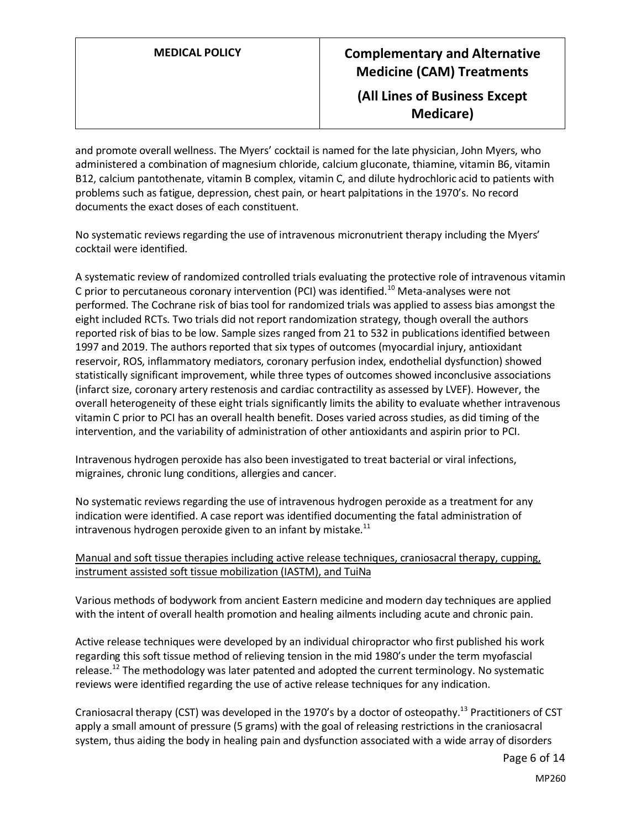**Medicare)**

and promote overall wellness. The Myers' cocktail is named for the late physician, John Myers, who administered a combination of magnesium chloride, calcium gluconate, thiamine, vitamin B6, vitamin B12, calcium pantothenate, vitamin B complex, vitamin C, and dilute hydrochloric acid to patients with problems such as fatigue, depression, chest pain, or heart palpitations in the 1970's. No record documents the exact doses of each constituent.

No systematic reviews regarding the use of intravenous micronutrient therapy including the Myers' cocktail were identified.

A systematic review of randomized controlled trials evaluating the protective role of intravenous vitamin C prior to percutaneous coronary intervention (PCI) was identified.<sup>10</sup> Meta-analyses were not performed. The Cochrane risk of bias tool for randomized trials was applied to assess bias amongst the eight included RCTs. Two trials did not report randomization strategy, though overall the authors reported risk of bias to be low. Sample sizes ranged from 21 to 532 in publications identified between 1997 and 2019. The authors reported that six types of outcomes (myocardial injury, antioxidant reservoir, ROS, inflammatory mediators, coronary perfusion index, endothelial dysfunction) showed statistically significant improvement, while three types of outcomes showed inconclusive associations (infarct size, coronary artery restenosis and cardiac contractility as assessed by LVEF). However, the overall heterogeneity of these eight trials significantly limits the ability to evaluate whether intravenous vitamin C prior to PCI has an overall health benefit. Doses varied across studies, as did timing of the intervention, and the variability of administration of other antioxidants and aspirin prior to PCI.

Intravenous hydrogen peroxide has also been investigated to treat bacterial or viral infections, migraines, chronic lung conditions, allergies and cancer.

No systematic reviews regarding the use of intravenous hydrogen peroxide as a treatment for any indication were identified. A case report was identified documenting the fatal administration of intravenous hydrogen peroxide given to an infant by mistake. $^{11}$ 

### Manual and soft tissue therapies including active release techniques, craniosacral therapy, cupping, instrument assisted soft tissue mobilization (IASTM), and TuiNa

Various methods of bodywork from ancient Eastern medicine and modern day techniques are applied with the intent of overall health promotion and healing ailments including acute and chronic pain.

Active release techniques were developed by an individual chiropractor who first published his work regarding this soft tissue method of relieving tension in the mid 1980's under the term myofascial release.<sup>12</sup> The methodology was later patented and adopted the current terminology. No systematic reviews were identified regarding the use of active release techniques for any indication.

Craniosacral therapy (CST) was developed in the 1970's by a doctor of osteopathy.<sup>13</sup> Practitioners of CST apply a small amount of pressure (5 grams) with the goal of releasing restrictions in the craniosacral system, thus aiding the body in healing pain and dysfunction associated with a wide array of disorders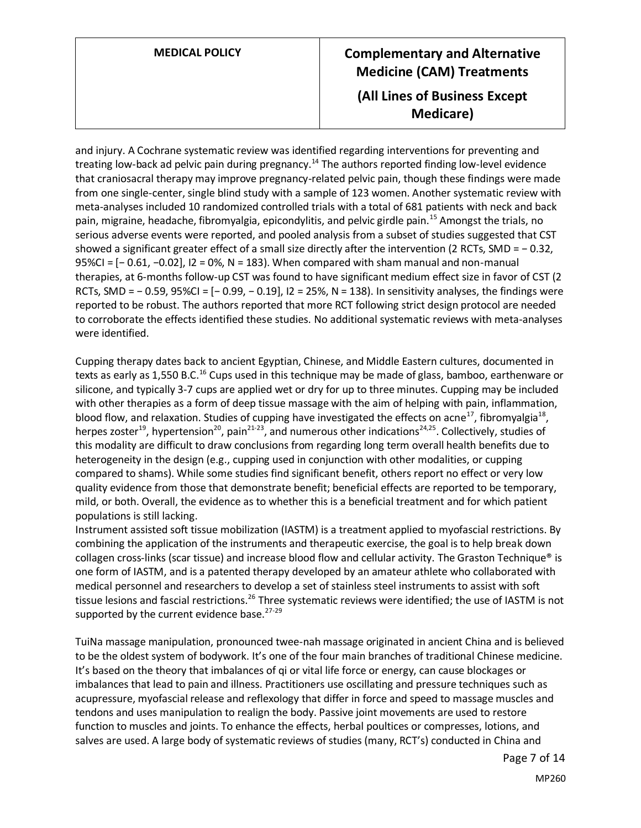## **MEDICAL POLICY Complementary and Alternative Medicine (CAM) Treatments (All Lines of Business Except Medicare)**

and injury. A Cochrane systematic review was identified regarding interventions for preventing and treating low-back ad pelvic pain during pregnancy.<sup>14</sup> The authors reported finding low-level evidence that craniosacral therapy may improve pregnancy-related pelvic pain, though these findings were made from one single-center, single blind study with a sample of 123 women. Another systematic review with meta-analyses included 10 randomized controlled trials with a total of 681 patients with neck and back pain, migraine, headache, fibromyalgia, epicondylitis, and pelvic girdle pain.<sup>15</sup> Amongst the trials, no serious adverse events were reported, and pooled analysis from a subset of studies suggested that CST showed a significant greater effect of a small size directly after the intervention (2 RCTs, SMD = − 0.32, 95%CI = [− 0.61, −0.02], I2 = 0%, N = 183). When compared with sham manual and non-manual therapies, at 6-months follow-up CST was found to have significant medium effect size in favor of CST (2 RCTs, SMD = − 0.59, 95%CI = [− 0.99, − 0.19], I2 = 25%, N = 138). In sensitivity analyses, the findings were reported to be robust. The authors reported that more RCT following strict design protocol are needed to corroborate the effects identified these studies. No additional systematic reviews with meta-analyses were identified.

Cupping therapy dates back to ancient Egyptian, Chinese, and Middle Eastern cultures, documented in texts as early as 1,550 B.C.<sup>16</sup> Cups used in this technique may be made of glass, bamboo, earthenware or silicone, and typically 3-7 cups are applied wet or dry for up to three minutes. Cupping may be included with other therapies as a form of deep tissue massage with the aim of helping with pain, inflammation, blood flow, and relaxation. Studies of cupping have investigated the effects on acne<sup>17</sup>, fibromyalgia<sup>18</sup>, herpes zoster<sup>19</sup>, hypertension<sup>20</sup>, pain<sup>21-23</sup>, and numerous other indications<sup>24,25</sup>. Collectively, studies of this modality are difficult to draw conclusions from regarding long term overall health benefits due to heterogeneity in the design (e.g., cupping used in conjunction with other modalities, or cupping compared to shams). While some studies find significant benefit, others report no effect or very low quality evidence from those that demonstrate benefit; beneficial effects are reported to be temporary, mild, or both. Overall, the evidence as to whether this is a beneficial treatment and for which patient populations is still lacking.

Instrument assisted soft tissue mobilization (IASTM) is a treatment applied to myofascial restrictions. By combining the application of the instruments and therapeutic exercise, the goal is to help break down collagen cross-links (scar tissue) and increase blood flow and cellular activity. The Graston Technique® is one form of IASTM, and is a patented therapy developed by an amateur athlete who collaborated with medical personnel and researchers to develop a set of stainless steel instruments to assist with soft tissue lesions and fascial restrictions.<sup>26</sup> Three systematic reviews were identified; the use of IASTM is not supported by the current evidence base. $27-29$ 

TuiNa massage manipulation, pronounced twee-nah massage originated in ancient China and is believed to be the oldest system of bodywork. It's one of the four main branches of traditional Chinese medicine. It's based on the theory that imbalances of qi or vital life force or energy, can cause blockages or imbalances that lead to pain and illness. Practitioners use oscillating and pressure techniques such as acupressure, myofascial release and reflexology that differ in force and speed to massage muscles and tendons and uses manipulation to realign the body. Passive joint movements are used to restore function to muscles and joints. To enhance the effects, herbal poultices or compresses, lotions, and salves are used. A large body of systematic reviews of studies (many, RCT's) conducted in China and

MP260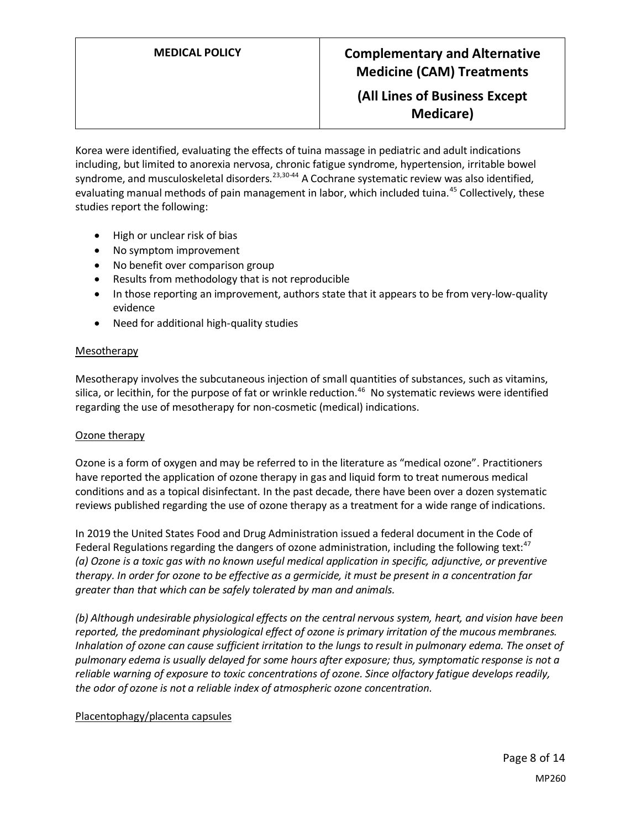**(All Lines of Business Except Medicare)**

Korea were identified, evaluating the effects of tuina massage in pediatric and adult indications including, but limited to anorexia nervosa, chronic fatigue syndrome, hypertension, irritable bowel syndrome, and musculoskeletal disorders.<sup>23,30-44</sup> A Cochrane systematic review was also identified, evaluating manual methods of pain management in labor, which included tuina.<sup>45</sup> Collectively, these studies report the following:

- High or unclear risk of bias
- No symptom improvement
- No benefit over comparison group
- Results from methodology that is not reproducible
- In those reporting an improvement, authors state that it appears to be from very-low-quality evidence
- Need for additional high-quality studies

### Mesotherapy

Mesotherapy involves the subcutaneous injection of small quantities of substances, such as vitamins, silica, or lecithin, for the purpose of fat or wrinkle reduction.<sup>46</sup> No systematic reviews were identified regarding the use of mesotherapy for non-cosmetic (medical) indications.

### Ozone therapy

Ozone is a form of oxygen and may be referred to in the literature as "medical ozone". Practitioners have reported the application of ozone therapy in gas and liquid form to treat numerous medical conditions and as a topical disinfectant. In the past decade, there have been over a dozen systematic reviews published regarding the use of ozone therapy as a treatment for a wide range of indications.

In 2019 the United States Food and Drug Administration issued a federal document in the Code of Federal Regulations regarding the dangers of ozone administration, including the following text: $47$ *(a) Ozone is a toxic gas with no known useful medical application in specific, adjunctive, or preventive therapy. In order for ozone to be effective as a germicide, it must be present in a concentration far greater than that which can be safely tolerated by man and animals.*

*(b) Although undesirable physiological effects on the central nervous system, heart, and vision have been reported, the predominant physiological effect of ozone is primary irritation of the mucous membranes. Inhalation of ozone can cause sufficient irritation to the lungs to result in pulmonary edema. The onset of pulmonary edema is usually delayed for some hours after exposure; thus, symptomatic response is not a reliable warning of exposure to toxic concentrations of ozone. Since olfactory fatigue develops readily, the odor of ozone is not a reliable index of atmospheric ozone concentration.*

### Placentophagy/placenta capsules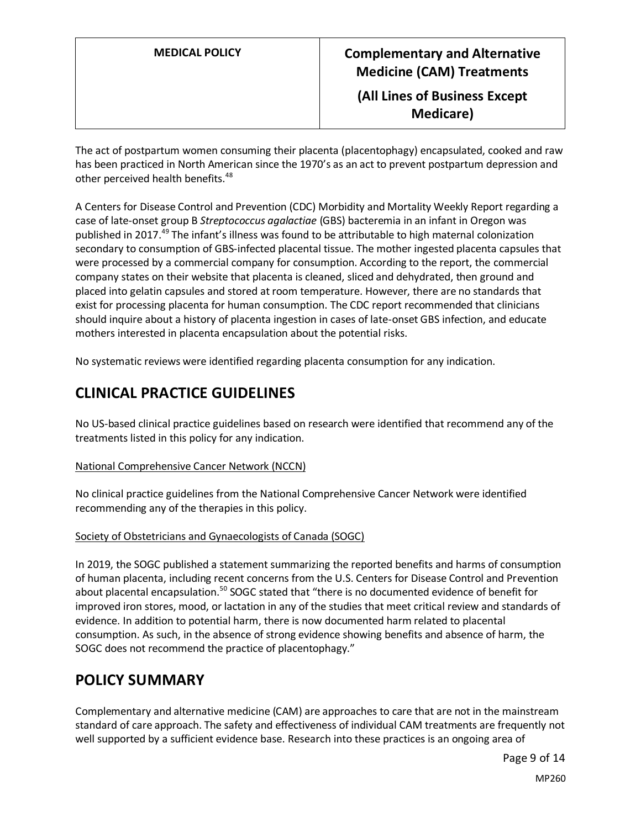The act of postpartum women consuming their placenta (placentophagy) encapsulated, cooked and raw has been practiced in North American since the 1970's as an act to prevent postpartum depression and other perceived health benefits.<sup>48</sup>

A Centers for Disease Control and Prevention (CDC) Morbidity and Mortality Weekly Report regarding a case of late-onset group B *Streptococcus agalactiae* (GBS) bacteremia in an infant in Oregon was published in 2017.<sup>49</sup> The infant's illness was found to be attributable to high maternal colonization secondary to consumption of GBS-infected placental tissue. The mother ingested placenta capsules that were processed by a commercial company for consumption. According to the report, the commercial company states on their website that placenta is cleaned, sliced and dehydrated, then ground and placed into gelatin capsules and stored at room temperature. However, there are no standards that exist for processing placenta for human consumption. The CDC report recommended that clinicians should inquire about a history of placenta ingestion in cases of late-onset GBS infection, and educate mothers interested in placenta encapsulation about the potential risks.

No systematic reviews were identified regarding placenta consumption for any indication.

## **CLINICAL PRACTICE GUIDELINES**

No US-based clinical practice guidelines based on research were identified that recommend any of the treatments listed in this policy for any indication.

### National Comprehensive Cancer Network (NCCN)

No clinical practice guidelines from the National Comprehensive Cancer Network were identified recommending any of the therapies in this policy.

### Society of Obstetricians and Gynaecologists of Canada (SOGC)

In 2019, the SOGC published a statement summarizing the reported benefits and harms of consumption of human placenta, including recent concerns from the U.S. Centers for Disease Control and Prevention about placental encapsulation.<sup>50</sup> SOGC stated that "there is no documented evidence of benefit for improved iron stores, mood, or lactation in any of the studies that meet critical review and standards of evidence. In addition to potential harm, there is now documented harm related to placental consumption. As such, in the absence of strong evidence showing benefits and absence of harm, the SOGC does not recommend the practice of placentophagy."

### <span id="page-8-0"></span>**POLICY SUMMARY**

Complementary and alternative medicine (CAM) are approaches to care that are not in the mainstream standard of care approach. The safety and effectiveness of individual CAM treatments are frequently not well supported by a sufficient evidence base. Research into these practices is an ongoing area of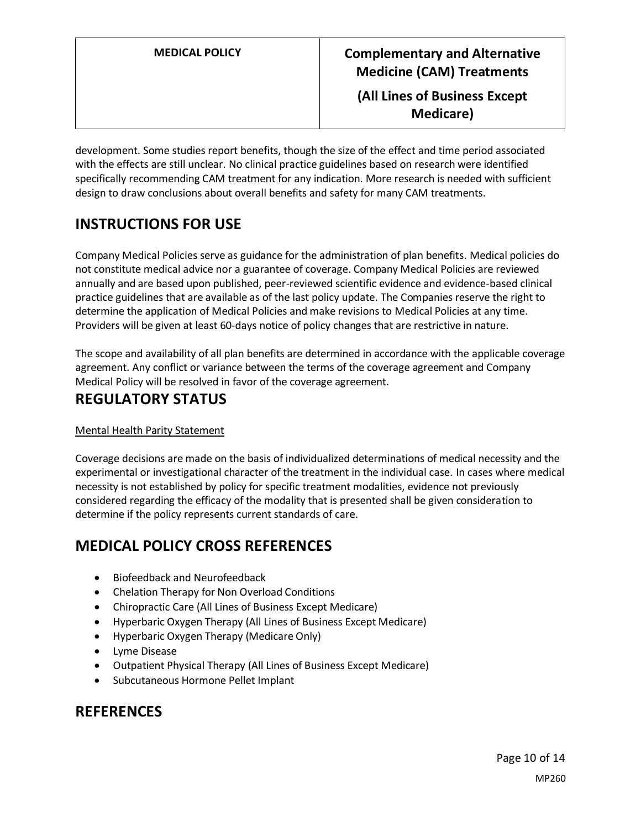development. Some studies report benefits, though the size of the effect and time period associated with the effects are still unclear. No clinical practice guidelines based on research were identified specifically recommending CAM treatment for any indication. More research is needed with sufficient design to draw conclusions about overall benefits and safety for many CAM treatments.

## **INSTRUCTIONS FOR USE**

Company Medical Policies serve as guidance for the administration of plan benefits. Medical policies do not constitute medical advice nor a guarantee of coverage. Company Medical Policies are reviewed annually and are based upon published, peer-reviewed scientific evidence and evidence-based clinical practice guidelines that are available as of the last policy update. The Companies reserve the right to determine the application of Medical Policies and make revisions to Medical Policies at any time. Providers will be given at least 60-days notice of policy changes that are restrictive in nature.

The scope and availability of all plan benefits are determined in accordance with the applicable coverage agreement. Any conflict or variance between the terms of the coverage agreement and Company Medical Policy will be resolved in favor of the coverage agreement.

## **REGULATORY STATUS**

### Mental Health Parity Statement

Coverage decisions are made on the basis of individualized determinations of medical necessity and the experimental or investigational character of the treatment in the individual case. In cases where medical necessity is not established by policy for specific treatment modalities, evidence not previously considered regarding the efficacy of the modality that is presented shall be given consideration to determine if the policy represents current standards of care.

## <span id="page-9-0"></span>**MEDICAL POLICY CROSS REFERENCES**

- Biofeedback and Neurofeedback
- Chelation Therapy for Non Overload Conditions
- Chiropractic Care (All Lines of Business Except Medicare)
- Hyperbaric Oxygen Therapy (All Lines of Business Except Medicare)
- Hyperbaric Oxygen Therapy (Medicare Only)
- Lyme Disease
- Outpatient Physical Therapy (All Lines of Business Except Medicare)
- Subcutaneous Hormone Pellet Implant

### **REFERENCES**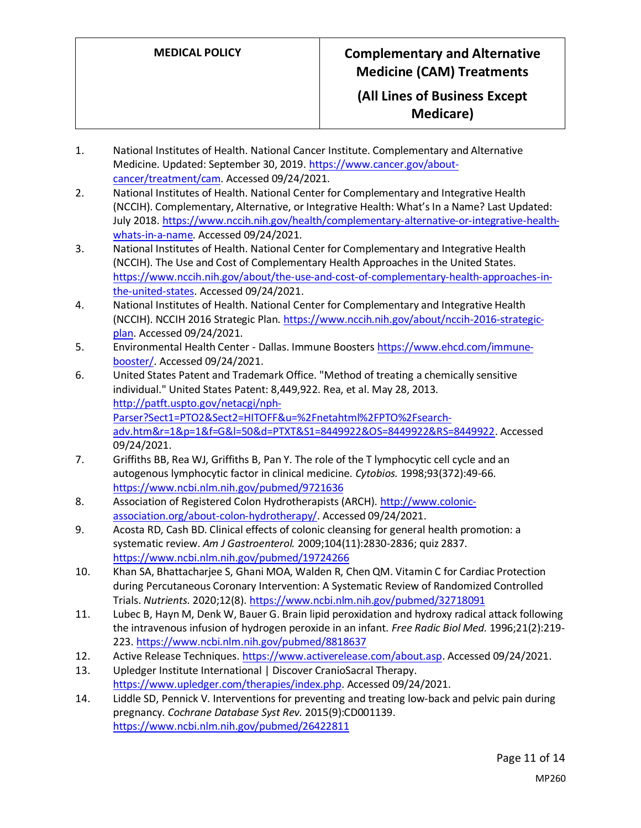- 1. National Institutes of Health. National Cancer Institute. Complementary and Alternative Medicine. Updated: September 30, 2019. [https://www.cancer.gov/about](https://www.cancer.gov/about-cancer/treatment/cam)[cancer/treatment/cam.](https://www.cancer.gov/about-cancer/treatment/cam) Accessed 09/24/2021.
- 2. National Institutes of Health. National Center for Complementary and Integrative Health (NCCIH). Complementary, Alternative, or Integrative Health: What's In a Name? Last Updated: July 2018. [https://www.nccih.nih.gov/health/complementary-alternative-or-integrative-health](https://www.nccih.nih.gov/health/complementary-alternative-or-integrative-health-whats-in-a-name)[whats-in-a-name.](https://www.nccih.nih.gov/health/complementary-alternative-or-integrative-health-whats-in-a-name) Accessed 09/24/2021.
- 3. National Institutes of Health. National Center for Complementary and Integrative Health (NCCIH). The Use and Cost of Complementary Health Approaches in the United States. [https://www.nccih.nih.gov/about/the-use-and-cost-of-complementary-health-approaches-in](https://www.nccih.nih.gov/about/the-use-and-cost-of-complementary-health-approaches-in-the-united-states)[the-united-states.](https://www.nccih.nih.gov/about/the-use-and-cost-of-complementary-health-approaches-in-the-united-states) Accessed 09/24/2021.
- 4. National Institutes of Health. National Center for Complementary and Integrative Health (NCCIH). NCCIH 2016 Strategic Plan[. https://www.nccih.nih.gov/about/nccih-2016-strategic](https://www.nccih.nih.gov/about/nccih-2016-strategic-plan)[plan.](https://www.nccih.nih.gov/about/nccih-2016-strategic-plan) Accessed 09/24/2021.
- 5. Environmental Health Center Dallas. Immune Boosters [https://www.ehcd.com/immune](https://www.ehcd.com/immune-booster/)[booster/.](https://www.ehcd.com/immune-booster/) Accessed 09/24/2021.
- 6. United States Patent and Trademark Office. "Method of treating a chemically sensitive individual." United States Patent: 8,449,922. Rea, et al. May 28, 2013. [http://patft.uspto.gov/netacgi/nph-](http://patft.uspto.gov/netacgi/nph-Parser?Sect1=PTO2&Sect2=HITOFF&u=%2Fnetahtml%2FPTO%2Fsearch-adv.htm&r=1&p=1&f=G&l=50&d=PTXT&S1=8449922&OS=8449922&RS=8449922)[Parser?Sect1=PTO2&Sect2=HITOFF&u=%2Fnetahtml%2FPTO%2Fsearch](http://patft.uspto.gov/netacgi/nph-Parser?Sect1=PTO2&Sect2=HITOFF&u=%2Fnetahtml%2FPTO%2Fsearch-adv.htm&r=1&p=1&f=G&l=50&d=PTXT&S1=8449922&OS=8449922&RS=8449922)[adv.htm&r=1&p=1&f=G&l=50&d=PTXT&S1=8449922&OS=8449922&RS=8449922.](http://patft.uspto.gov/netacgi/nph-Parser?Sect1=PTO2&Sect2=HITOFF&u=%2Fnetahtml%2FPTO%2Fsearch-adv.htm&r=1&p=1&f=G&l=50&d=PTXT&S1=8449922&OS=8449922&RS=8449922) Accessed 09/24/2021.
- 7. Griffiths BB, Rea WJ, Griffiths B, Pan Y. The role of the T lymphocytic cell cycle and an autogenous lymphocytic factor in clinical medicine. *Cytobios.* 1998;93(372):49-66. <https://www.ncbi.nlm.nih.gov/pubmed/9721636>
- 8. Association of Registered Colon Hydrotherapists (ARCH). [http://www.colonic](http://www.colonic-association.org/about-colon-hydrotherapy/)[association.org/about-colon-hydrotherapy/.](http://www.colonic-association.org/about-colon-hydrotherapy/) Accessed 09/24/2021.
- 9. Acosta RD, Cash BD. Clinical effects of colonic cleansing for general health promotion: a systematic review. *Am J Gastroenterol.* 2009;104(11):2830-2836; quiz 2837. <https://www.ncbi.nlm.nih.gov/pubmed/19724266>
- 10. Khan SA, Bhattacharjee S, Ghani MOA, Walden R, Chen QM. Vitamin C for Cardiac Protection during Percutaneous Coronary Intervention: A Systematic Review of Randomized Controlled Trials. *Nutrients.* 2020;12(8).<https://www.ncbi.nlm.nih.gov/pubmed/32718091>
- 11. Lubec B, Hayn M, Denk W, Bauer G. Brain lipid peroxidation and hydroxy radical attack following the intravenous infusion of hydrogen peroxide in an infant. *Free Radic Biol Med.* 1996;21(2):219- 223.<https://www.ncbi.nlm.nih.gov/pubmed/8818637>
- 12. Active Release Techniques. [https://www.activerelease.com/about.asp.](https://www.activerelease.com/about.asp) Accessed 09/24/2021.
- 13. Upledger Institute International | Discover CranioSacral Therapy. [https://www.upledger.com/therapies/index.php.](https://www.upledger.com/therapies/index.php) Accessed 09/24/2021.
- 14. Liddle SD, Pennick V. Interventions for preventing and treating low-back and pelvic pain during pregnancy. *Cochrane Database Syst Rev.* 2015(9):CD001139. <https://www.ncbi.nlm.nih.gov/pubmed/26422811>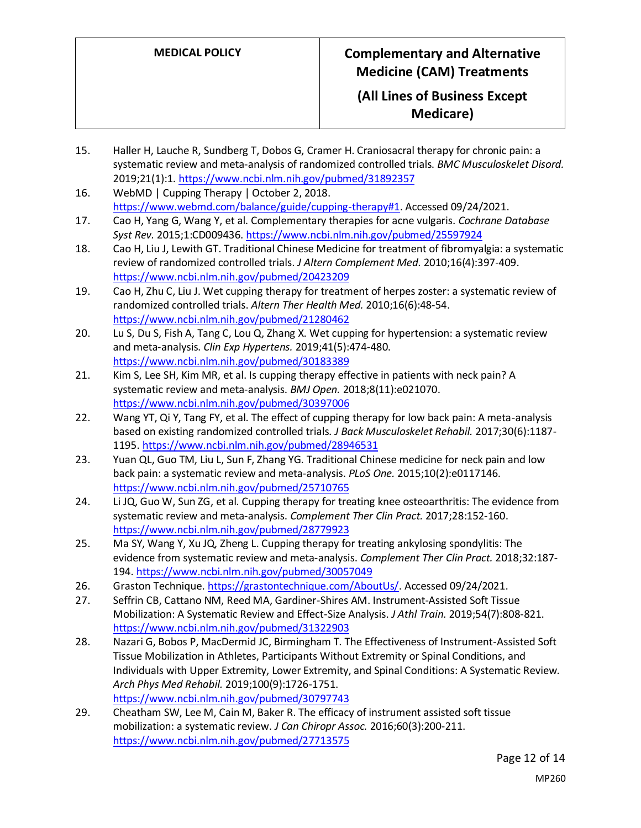- 15. Haller H, Lauche R, Sundberg T, Dobos G, Cramer H. Craniosacral therapy for chronic pain: a systematic review and meta-analysis of randomized controlled trials. *BMC Musculoskelet Disord.*  2019;21(1):1[. https://www.ncbi.nlm.nih.gov/pubmed/31892357](https://www.ncbi.nlm.nih.gov/pubmed/31892357)
- 16. WebMD | Cupping Therapy | October 2, 2018. [https://www.webmd.com/balance/guide/cupping-therapy#1.](https://www.webmd.com/balance/guide/cupping-therapy#1) Accessed 09/24/2021.
- 17. Cao H, Yang G, Wang Y, et al. Complementary therapies for acne vulgaris. *Cochrane Database Syst Rev.* 2015;1:CD009436.<https://www.ncbi.nlm.nih.gov/pubmed/25597924>
- 18. Cao H, Liu J, Lewith GT. Traditional Chinese Medicine for treatment of fibromyalgia: a systematic review of randomized controlled trials. *J Altern Complement Med.* 2010;16(4):397-409. <https://www.ncbi.nlm.nih.gov/pubmed/20423209>
- 19. Cao H, Zhu C, Liu J. Wet cupping therapy for treatment of herpes zoster: a systematic review of randomized controlled trials. *Altern Ther Health Med.* 2010;16(6):48-54. <https://www.ncbi.nlm.nih.gov/pubmed/21280462>
- 20. Lu S, Du S, Fish A, Tang C, Lou Q, Zhang X. Wet cupping for hypertension: a systematic review and meta-analysis. *Clin Exp Hypertens.* 2019;41(5):474-480. <https://www.ncbi.nlm.nih.gov/pubmed/30183389>
- 21. Kim S, Lee SH, Kim MR, et al. Is cupping therapy effective in patients with neck pain? A systematic review and meta-analysis. *BMJ Open.* 2018;8(11):e021070. <https://www.ncbi.nlm.nih.gov/pubmed/30397006>
- 22. Wang YT, Qi Y, Tang FY, et al. The effect of cupping therapy for low back pain: A meta-analysis based on existing randomized controlled trials. *J Back Musculoskelet Rehabil.* 2017;30(6):1187- 1195[. https://www.ncbi.nlm.nih.gov/pubmed/28946531](https://www.ncbi.nlm.nih.gov/pubmed/28946531)
- 23. Yuan QL, Guo TM, Liu L, Sun F, Zhang YG. Traditional Chinese medicine for neck pain and low back pain: a systematic review and meta-analysis. *PLoS One.* 2015;10(2):e0117146. <https://www.ncbi.nlm.nih.gov/pubmed/25710765>
- 24. Li JQ, Guo W, Sun ZG, et al. Cupping therapy for treating knee osteoarthritis: The evidence from systematic review and meta-analysis. *Complement Ther Clin Pract.* 2017;28:152-160. <https://www.ncbi.nlm.nih.gov/pubmed/28779923>
- 25. Ma SY, Wang Y, Xu JQ, Zheng L. Cupping therapy for treating ankylosing spondylitis: The evidence from systematic review and meta-analysis. *Complement Ther Clin Pract.* 2018;32:187- 194.<https://www.ncbi.nlm.nih.gov/pubmed/30057049>
- 26. Graston Technique. [https://grastontechnique.com/AboutUs/.](https://grastontechnique.com/AboutUs/) Accessed 09/24/2021.
- 27. Seffrin CB, Cattano NM, Reed MA, Gardiner-Shires AM. Instrument-Assisted Soft Tissue Mobilization: A Systematic Review and Effect-Size Analysis. *J Athl Train.* 2019;54(7):808-821. <https://www.ncbi.nlm.nih.gov/pubmed/31322903>
- 28. Nazari G, Bobos P, MacDermid JC, Birmingham T. The Effectiveness of Instrument-Assisted Soft Tissue Mobilization in Athletes, Participants Without Extremity or Spinal Conditions, and Individuals with Upper Extremity, Lower Extremity, and Spinal Conditions: A Systematic Review. *Arch Phys Med Rehabil.* 2019;100(9):1726-1751. <https://www.ncbi.nlm.nih.gov/pubmed/30797743>
- 29. Cheatham SW, Lee M, Cain M, Baker R. The efficacy of instrument assisted soft tissue mobilization: a systematic review. *J Can Chiropr Assoc.* 2016;60(3):200-211. <https://www.ncbi.nlm.nih.gov/pubmed/27713575>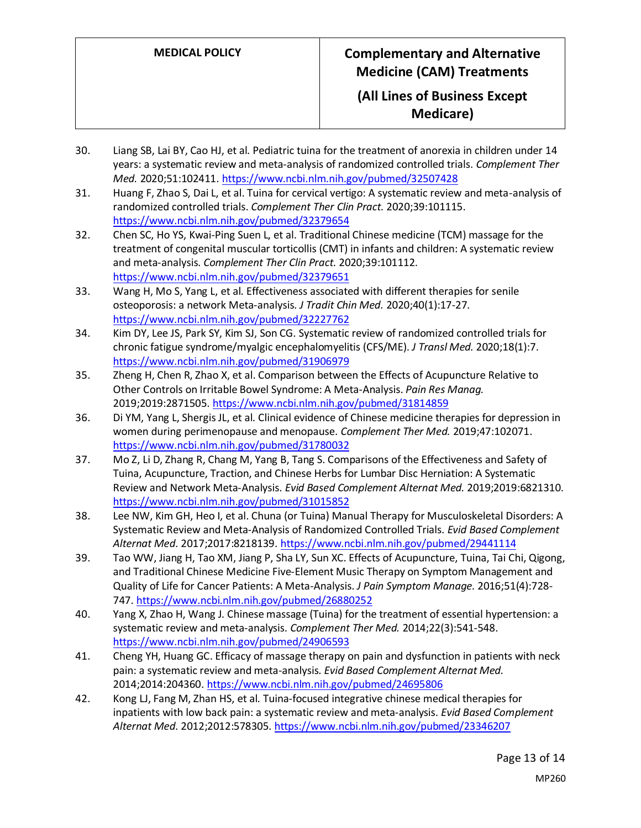- 30. Liang SB, Lai BY, Cao HJ, et al. Pediatric tuina for the treatment of anorexia in children under 14 years: a systematic review and meta-analysis of randomized controlled trials. *Complement Ther Med.* 2020;51:102411[. https://www.ncbi.nlm.nih.gov/pubmed/32507428](https://www.ncbi.nlm.nih.gov/pubmed/32507428)
- 31. Huang F, Zhao S, Dai L, et al. Tuina for cervical vertigo: A systematic review and meta-analysis of randomized controlled trials. *Complement Ther Clin Pract.* 2020;39:101115. <https://www.ncbi.nlm.nih.gov/pubmed/32379654>
- 32. Chen SC, Ho YS, Kwai-Ping Suen L, et al. Traditional Chinese medicine (TCM) massage for the treatment of congenital muscular torticollis (CMT) in infants and children: A systematic review and meta-analysis. *Complement Ther Clin Pract.* 2020;39:101112. <https://www.ncbi.nlm.nih.gov/pubmed/32379651>
- 33. Wang H, Mo S, Yang L, et al. Effectiveness associated with different therapies for senile osteoporosis: a network Meta-analysis. *J Tradit Chin Med.* 2020;40(1):17-27. <https://www.ncbi.nlm.nih.gov/pubmed/32227762>
- 34. Kim DY, Lee JS, Park SY, Kim SJ, Son CG. Systematic review of randomized controlled trials for chronic fatigue syndrome/myalgic encephalomyelitis (CFS/ME). *J Transl Med.* 2020;18(1):7. <https://www.ncbi.nlm.nih.gov/pubmed/31906979>
- 35. Zheng H, Chen R, Zhao X, et al. Comparison between the Effects of Acupuncture Relative to Other Controls on Irritable Bowel Syndrome: A Meta-Analysis. *Pain Res Manag.*  2019;2019:2871505.<https://www.ncbi.nlm.nih.gov/pubmed/31814859>
- 36. Di YM, Yang L, Shergis JL, et al. Clinical evidence of Chinese medicine therapies for depression in women during perimenopause and menopause. *Complement Ther Med.* 2019;47:102071. <https://www.ncbi.nlm.nih.gov/pubmed/31780032>
- 37. Mo Z, Li D, Zhang R, Chang M, Yang B, Tang S. Comparisons of the Effectiveness and Safety of Tuina, Acupuncture, Traction, and Chinese Herbs for Lumbar Disc Herniation: A Systematic Review and Network Meta-Analysis. *Evid Based Complement Alternat Med.* 2019;2019:6821310. <https://www.ncbi.nlm.nih.gov/pubmed/31015852>
- 38. Lee NW, Kim GH, Heo I, et al. Chuna (or Tuina) Manual Therapy for Musculoskeletal Disorders: A Systematic Review and Meta-Analysis of Randomized Controlled Trials. *Evid Based Complement Alternat Med.* 2017;2017:8218139[. https://www.ncbi.nlm.nih.gov/pubmed/29441114](https://www.ncbi.nlm.nih.gov/pubmed/29441114)
- 39. Tao WW, Jiang H, Tao XM, Jiang P, Sha LY, Sun XC. Effects of Acupuncture, Tuina, Tai Chi, Qigong, and Traditional Chinese Medicine Five-Element Music Therapy on Symptom Management and Quality of Life for Cancer Patients: A Meta-Analysis. *J Pain Symptom Manage.* 2016;51(4):728- 747.<https://www.ncbi.nlm.nih.gov/pubmed/26880252>
- 40. Yang X, Zhao H, Wang J. Chinese massage (Tuina) for the treatment of essential hypertension: a systematic review and meta-analysis. *Complement Ther Med.* 2014;22(3):541-548. <https://www.ncbi.nlm.nih.gov/pubmed/24906593>
- 41. Cheng YH, Huang GC. Efficacy of massage therapy on pain and dysfunction in patients with neck pain: a systematic review and meta-analysis. *Evid Based Complement Alternat Med.*  2014;2014:204360[. https://www.ncbi.nlm.nih.gov/pubmed/24695806](https://www.ncbi.nlm.nih.gov/pubmed/24695806)
- 42. Kong LJ, Fang M, Zhan HS, et al. Tuina-focused integrative chinese medical therapies for inpatients with low back pain: a systematic review and meta-analysis. *Evid Based Complement Alternat Med.* 2012;2012:578305.<https://www.ncbi.nlm.nih.gov/pubmed/23346207>